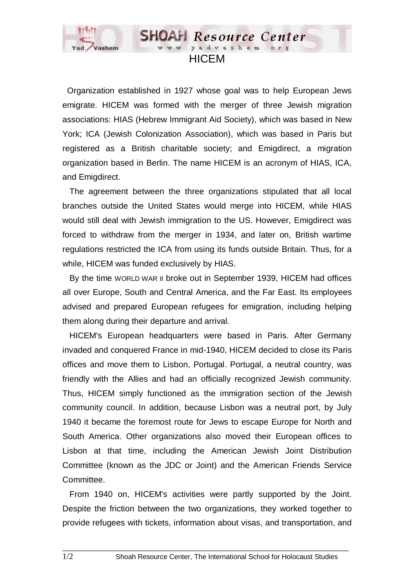

 Organization established in 1927 whose goal was to help European Jews emigrate. HICEM was formed with the merger of three Jewish migration associations: HIAS (Hebrew Immigrant Aid Society), which was based in New York; ICA (Jewish Colonization Association), which was based in Paris but registered as a British charitable society; and Emigdirect, a migration organization based in Berlin. The name HICEM is an acronym of HIAS, ICA, and Emigdirect.

**HICEM** 

**SHOAH** Resource Center www.yadvashem.o

 The agreement between the three organizations stipulated that all local branches outside the United States would merge into HICEM, while HIAS would still deal with Jewish immigration to the US. However, Emigdirect was forced to withdraw from the merger in 1934, and later on, British wartime regulations restricted the ICA from using its funds outside Britain. Thus, for a while, HICEM was funded exclusively by HIAS.

 By the time WORLD WAR II broke out in September 1939, HICEM had offices all over Europe, South and Central America, and the Far East. Its employees advised and prepared European refugees for emigration, including helping them along during their departure and arrival.

 HICEM's European headquarters were based in Paris. After Germany invaded and conquered France in mid-1940, HICEM decided to close its Paris offices and move them to Lisbon, Portugal. Portugal, a neutral country, was friendly with the Allies and had an officially recognized Jewish community. Thus, HICEM simply functioned as the immigration section of the Jewish community council. In addition, because Lisbon was a neutral port, by July 1940 it became the foremost route for Jews to escape Europe for North and South America. Other organizations also moved their European offices to Lisbon at that time, including the American Jewish Joint Distribution Committee (known as the JDC or Joint) and the American Friends Service Committee.

 From 1940 on, HICEM's activities were partly supported by the Joint. Despite the friction between the two organizations, they worked together to provide refugees with tickets, information about visas, and transportation, and

 $\Box$  . The contribution of the contribution of the contribution of the contribution of the contribution of the contribution of the contribution of the contribution of the contribution of the contribution of the contributi